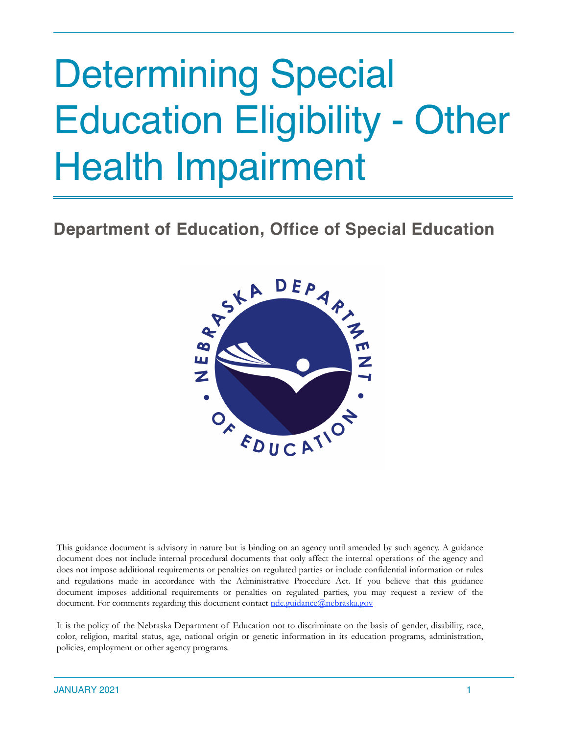# Determining Special Education Eligibility - Other Health Impairment

## **Department of Education, Office of Special Education**



This guidance document is advisory in nature but is binding on an agency until amended by such agency. A guidance document does not include internal procedural documents that only affect the internal operations of the agency and does not impose additional requirements or penalties on regulated parties or include confidential information or rules and regulations made in accordance with the Administrative Procedure Act. If you believe that this guidance document imposes additional requirements or penalties on regulated parties, you may request a review of the document. For comments regarding this document contact [nde.guidance@nebraska.gov](mailto:nde.guidance@nebraska.gov)

It is the policy of the Nebraska Department of Education not to discriminate on the basis of gender, disability, race, color, religion, marital status, age, national origin or genetic information in its education programs, administration, policies, employment or other agency programs.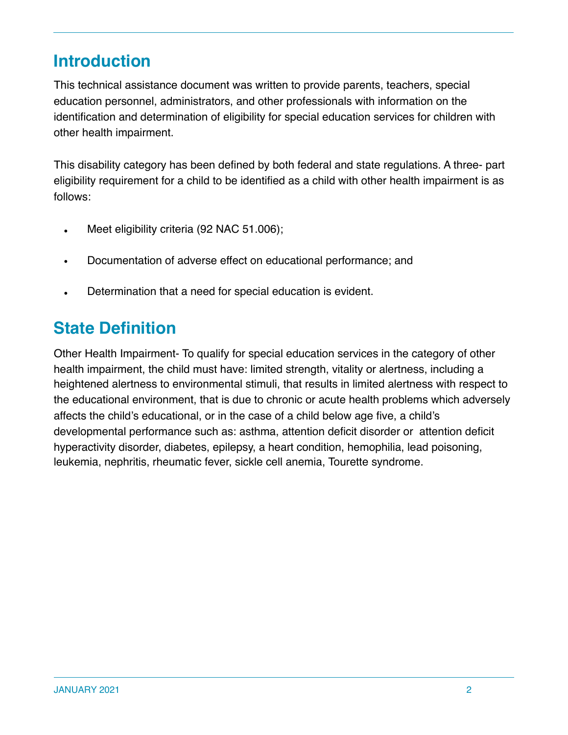## **Introduction**

This technical assistance document was written to provide parents, teachers, special education personnel, administrators, and other professionals with information on the identification and determination of eligibility for special education services for children with other health impairment.

This disability category has been defined by both federal and state regulations. A three- part eligibility requirement for a child to be identified as a child with other health impairment is as follows:

- Meet eligibility criteria (92 NAC 51.006);
- Documentation of adverse effect on educational performance; and
- Determination that a need for special education is evident.

## **State Definition**

Other Health Impairment- To qualify for special education services in the category of other health impairment, the child must have: limited strength, vitality or alertness, including a heightened alertness to environmental stimuli, that results in limited alertness with respect to the educational environment, that is due to chronic or acute health problems which adversely affects the child's educational, or in the case of a child below age five, a child's developmental performance such as: asthma, attention deficit disorder or attention deficit hyperactivity disorder, diabetes, epilepsy, a heart condition, hemophilia, lead poisoning, leukemia, nephritis, rheumatic fever, sickle cell anemia, Tourette syndrome.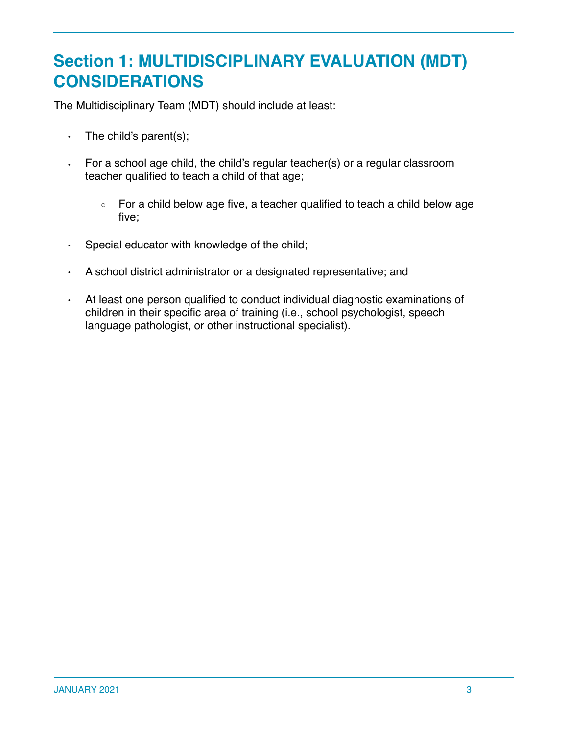## **Section 1: MULTIDISCIPLINARY EVALUATION (MDT) CONSIDERATIONS**

The Multidisciplinary Team (MDT) should include at least:

- $\cdot$  The child's parent(s);
- For a school age child, the child's regular teacher(s) or a regular classroom teacher qualified to teach a child of that age;
	- For a child below age five, a teacher qualified to teach a child below age five;
- Special educator with knowledge of the child;
- A school district administrator or a designated representative; and
- At least one person qualified to conduct individual diagnostic examinations of children in their specific area of training (i.e., school psychologist, speech language pathologist, or other instructional specialist).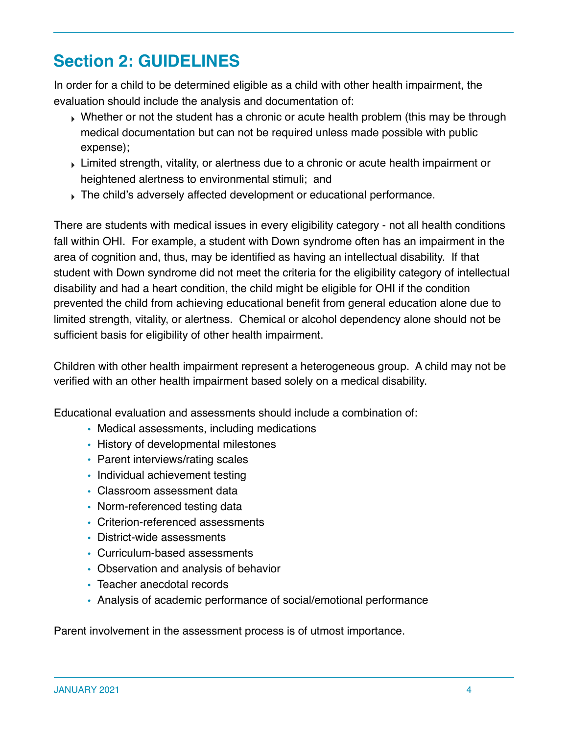# **Section 2: GUIDELINES**

In order for a child to be determined eligible as a child with other health impairment, the evaluation should include the analysis and documentation of:

- Whether or not the student has a chronic or acute health problem (this may be through medical documentation but can not be required unless made possible with public expense);
- ‣ Limited strength, vitality, or alertness due to a chronic or acute health impairment or heightened alertness to environmental stimuli; and
- ‣ The child's adversely affected development or educational performance.

There are students with medical issues in every eligibility category - not all health conditions fall within OHI. For example, a student with Down syndrome often has an impairment in the area of cognition and, thus, may be identified as having an intellectual disability. If that student with Down syndrome did not meet the criteria for the eligibility category of intellectual disability and had a heart condition, the child might be eligible for OHI if the condition prevented the child from achieving educational benefit from general education alone due to limited strength, vitality, or alertness. Chemical or alcohol dependency alone should not be sufficient basis for eligibility of other health impairment.

Children with other health impairment represent a heterogeneous group. A child may not be verified with an other health impairment based solely on a medical disability.

Educational evaluation and assessments should include a combination of:

- Medical assessments, including medications
- History of developmental milestones
- Parent interviews/rating scales
- Individual achievement testing
- Classroom assessment data
- Norm-referenced testing data
- Criterion-referenced assessments
- District-wide assessments
- Curriculum-based assessments
- Observation and analysis of behavior
- Teacher anecdotal records
- Analysis of academic performance of social/emotional performance

Parent involvement in the assessment process is of utmost importance.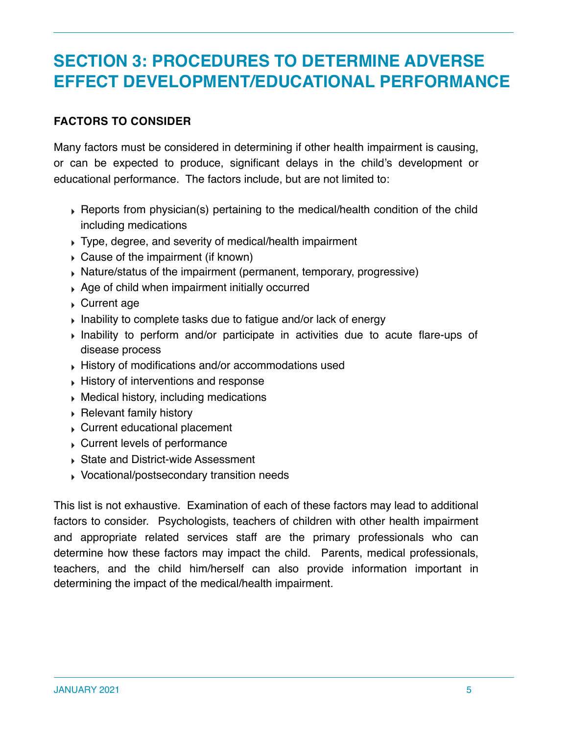## **SECTION 3: PROCEDURES TO DETERMINE ADVERSE EFFECT DEVELOPMENT/EDUCATIONAL PERFORMANCE**

#### **FACTORS TO CONSIDER**

Many factors must be considered in determining if other health impairment is causing, or can be expected to produce, significant delays in the child's development or educational performance. The factors include, but are not limited to:

- ‣ Reports from physician(s) pertaining to the medical/health condition of the child including medications
- ‣ Type, degree, and severity of medical/health impairment
- ‣ Cause of the impairment (if known)
- ‣ Nature/status of the impairment (permanent, temporary, progressive)
- ‣ Age of child when impairment initially occurred
- ‣ Current age
- ‣ Inability to complete tasks due to fatigue and/or lack of energy
- ‣ Inability to perform and/or participate in activities due to acute flare-ups of disease process
- ‣ History of modifications and/or accommodations used
- ‣ History of interventions and response
- ‣ Medical history, including medications
- ‣ Relevant family history
- ‣ Current educational placement
- ‣ Current levels of performance
- ‣ State and District-wide Assessment
- ‣ Vocational/postsecondary transition needs

This list is not exhaustive. Examination of each of these factors may lead to additional factors to consider. Psychologists, teachers of children with other health impairment and appropriate related services staff are the primary professionals who can determine how these factors may impact the child. Parents, medical professionals, teachers, and the child him/herself can also provide information important in determining the impact of the medical/health impairment.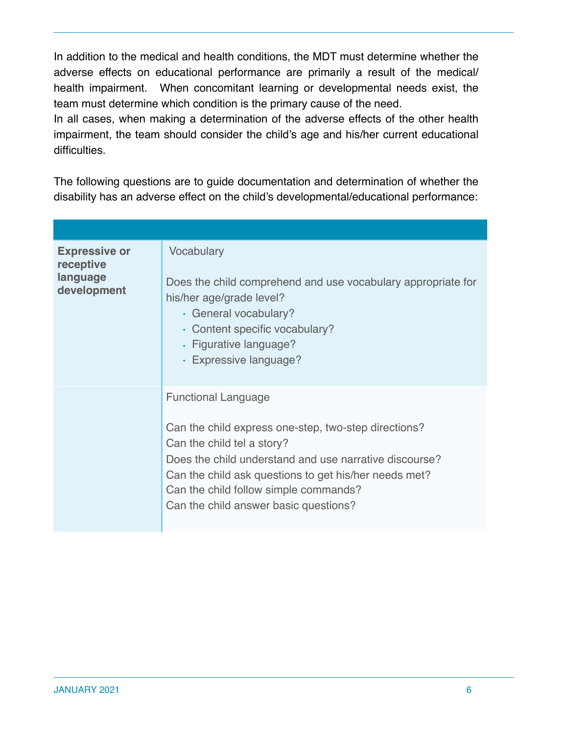In addition to the medical and health conditions, the MDT must determine whether the adverse effects on educational performance are primarily a result of the medical/ health impairment. When concomitant learning or developmental needs exist, the team must determine which condition is the primary cause of the need.

In all cases, when making a determination of the adverse effects of the other health impairment, the team should consider the child's age and his/her current educational difficulties.

The following questions are to guide documentation and determination of whether the disability has an adverse effect on the child's developmental/educational performance:

| <b>Expressive or</b><br>receptive<br>language<br>development | Vocabulary<br>Does the child comprehend and use vocabulary appropriate for<br>his/her age/grade level?<br>· General vocabulary?<br>• Content specific vocabulary?<br>· Figurative language?<br>· Expressive language?                                                                                                 |
|--------------------------------------------------------------|-----------------------------------------------------------------------------------------------------------------------------------------------------------------------------------------------------------------------------------------------------------------------------------------------------------------------|
|                                                              | <b>Functional Language</b><br>Can the child express one-step, two-step directions?<br>Can the child tel a story?<br>Does the child understand and use narrative discourse?<br>Can the child ask questions to get his/her needs met?<br>Can the child follow simple commands?<br>Can the child answer basic questions? |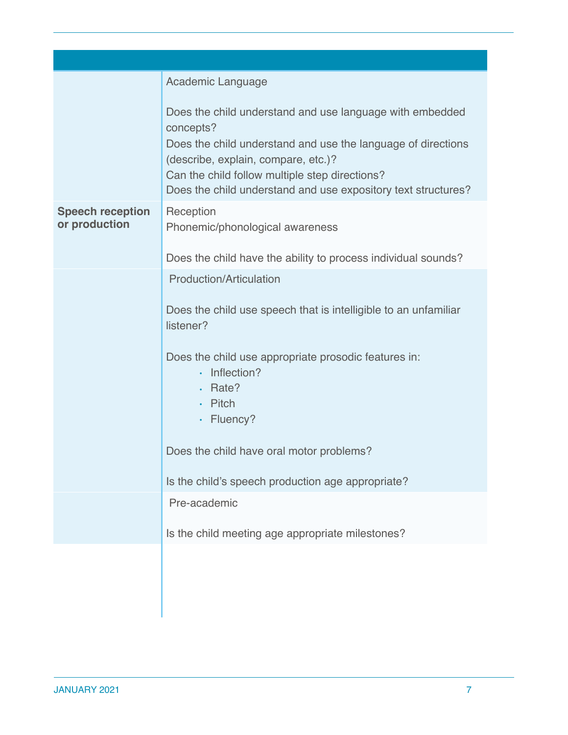|                                          | Academic Language                                                                                                                                                                                                                                                                               |
|------------------------------------------|-------------------------------------------------------------------------------------------------------------------------------------------------------------------------------------------------------------------------------------------------------------------------------------------------|
|                                          | Does the child understand and use language with embedded<br>concepts?<br>Does the child understand and use the language of directions<br>(describe, explain, compare, etc.)?<br>Can the child follow multiple step directions?<br>Does the child understand and use expository text structures? |
| <b>Speech reception</b><br>or production | Reception<br>Phonemic/phonological awareness                                                                                                                                                                                                                                                    |
|                                          | Does the child have the ability to process individual sounds?                                                                                                                                                                                                                                   |
|                                          | <b>Production/Articulation</b>                                                                                                                                                                                                                                                                  |
|                                          | Does the child use speech that is intelligible to an unfamiliar<br>listener?                                                                                                                                                                                                                    |
|                                          | Does the child use appropriate prosodic features in:<br>$\cdot$ Inflection?<br>· Rate?<br>$\cdot$ Pitch                                                                                                                                                                                         |
|                                          | · Fluency?                                                                                                                                                                                                                                                                                      |
|                                          | Does the child have oral motor problems?                                                                                                                                                                                                                                                        |
|                                          | Is the child's speech production age appropriate?                                                                                                                                                                                                                                               |
|                                          | Pre-academic                                                                                                                                                                                                                                                                                    |
|                                          | Is the child meeting age appropriate milestones?                                                                                                                                                                                                                                                |
|                                          |                                                                                                                                                                                                                                                                                                 |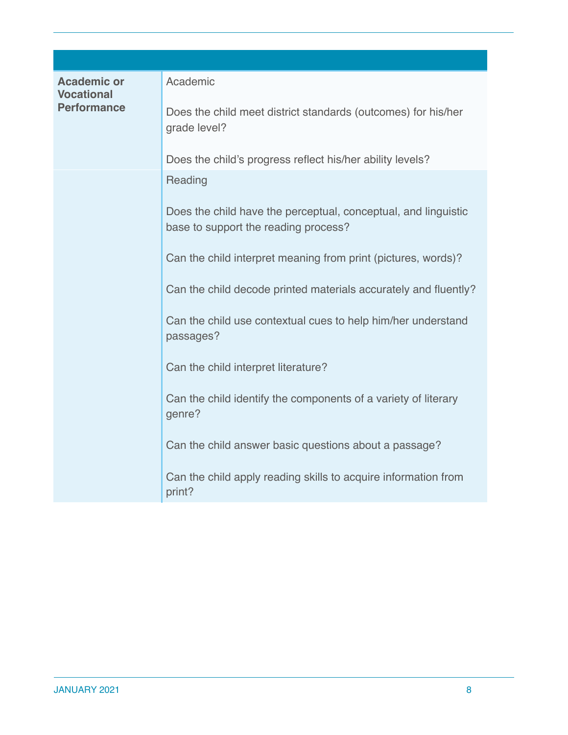| <b>Academic or</b><br><b>Vocational</b><br><b>Performance</b> | Academic                                                                                               |
|---------------------------------------------------------------|--------------------------------------------------------------------------------------------------------|
|                                                               | Does the child meet district standards (outcomes) for his/her<br>grade level?                          |
|                                                               | Does the child's progress reflect his/her ability levels?                                              |
|                                                               | Reading                                                                                                |
|                                                               | Does the child have the perceptual, conceptual, and linguistic<br>base to support the reading process? |
|                                                               | Can the child interpret meaning from print (pictures, words)?                                          |
|                                                               | Can the child decode printed materials accurately and fluently?                                        |
|                                                               | Can the child use contextual cues to help him/her understand<br>passages?                              |
|                                                               | Can the child interpret literature?                                                                    |
|                                                               | Can the child identify the components of a variety of literary<br>genre?                               |
|                                                               | Can the child answer basic questions about a passage?                                                  |
|                                                               | Can the child apply reading skills to acquire information from<br>print?                               |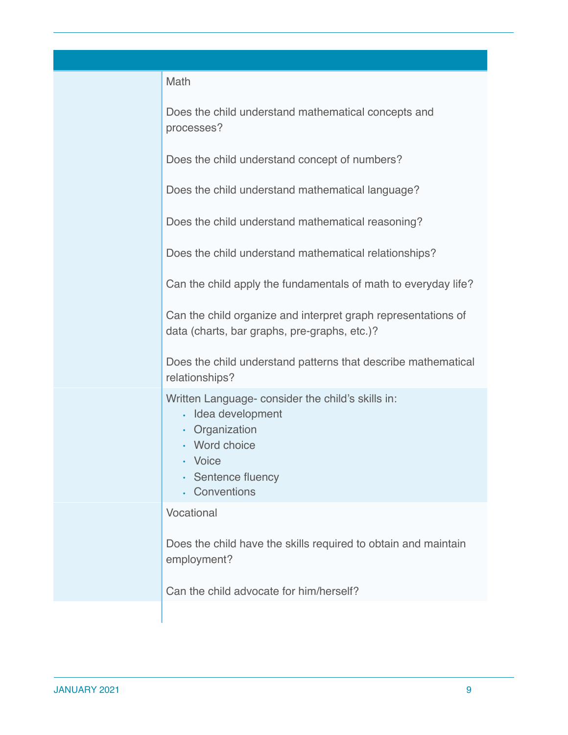| Math                                                                                                                                                       |
|------------------------------------------------------------------------------------------------------------------------------------------------------------|
| Does the child understand mathematical concepts and<br>processes?                                                                                          |
| Does the child understand concept of numbers?                                                                                                              |
| Does the child understand mathematical language?                                                                                                           |
| Does the child understand mathematical reasoning?                                                                                                          |
| Does the child understand mathematical relationships?                                                                                                      |
| Can the child apply the fundamentals of math to everyday life?                                                                                             |
| Can the child organize and interpret graph representations of<br>data (charts, bar graphs, pre-graphs, etc.)?                                              |
| Does the child understand patterns that describe mathematical<br>relationships?                                                                            |
| Written Language- consider the child's skills in:<br>· Idea development<br>• Organization<br>• Word choice<br>· Voice<br>Sentence fluency<br>. Conventions |
| Vocational                                                                                                                                                 |
| Does the child have the skills required to obtain and maintain<br>employment?                                                                              |
| Can the child advocate for him/herself?                                                                                                                    |
|                                                                                                                                                            |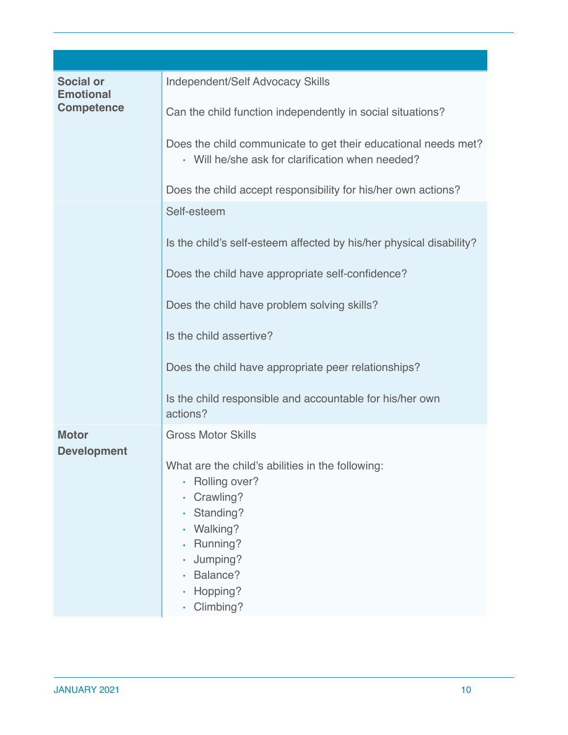| <b>Social or</b><br><b>Emotional</b><br><b>Competence</b> | <b>Independent/Self Advocacy Skills</b>                                                                                                                              |
|-----------------------------------------------------------|----------------------------------------------------------------------------------------------------------------------------------------------------------------------|
|                                                           | Can the child function independently in social situations?                                                                                                           |
|                                                           | Does the child communicate to get their educational needs met?<br>• Will he/she ask for clarification when needed?                                                   |
|                                                           | Does the child accept responsibility for his/her own actions?                                                                                                        |
|                                                           | Self-esteem                                                                                                                                                          |
|                                                           | Is the child's self-esteem affected by his/her physical disability?                                                                                                  |
|                                                           | Does the child have appropriate self-confidence?                                                                                                                     |
|                                                           | Does the child have problem solving skills?                                                                                                                          |
|                                                           | Is the child assertive?                                                                                                                                              |
|                                                           | Does the child have appropriate peer relationships?                                                                                                                  |
|                                                           | Is the child responsible and accountable for his/her own<br>actions?                                                                                                 |
| <b>Motor</b>                                              | <b>Gross Motor Skills</b>                                                                                                                                            |
| <b>Development</b>                                        | What are the child's abilities in the following:<br>Rolling over?<br>Crawling?<br>Standing?<br>Walking?<br>Running?<br>Jumping?<br>Balance?<br>Hopping?<br>Climbing? |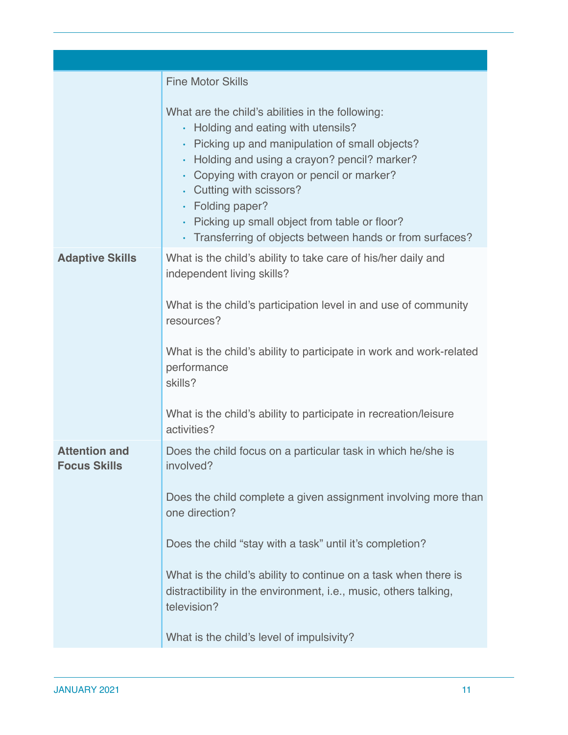|                                             | <b>Fine Motor Skills</b>                                                                                                                                                                                                                                                                                                                                                                                       |
|---------------------------------------------|----------------------------------------------------------------------------------------------------------------------------------------------------------------------------------------------------------------------------------------------------------------------------------------------------------------------------------------------------------------------------------------------------------------|
|                                             | What are the child's abilities in the following:<br>• Holding and eating with utensils?<br>· Picking up and manipulation of small objects?<br>• Holding and using a crayon? pencil? marker?<br>• Copying with crayon or pencil or marker?<br>. Cutting with scissors?<br>$\cdot$ Folding paper?<br>• Picking up small object from table or floor?<br>• Transferring of objects between hands or from surfaces? |
| <b>Adaptive Skills</b>                      | What is the child's ability to take care of his/her daily and<br>independent living skills?<br>What is the child's participation level in and use of community<br>resources?<br>What is the child's ability to participate in work and work-related<br>performance<br>skills?                                                                                                                                  |
|                                             | What is the child's ability to participate in recreation/leisure<br>activities?                                                                                                                                                                                                                                                                                                                                |
| <b>Attention and</b><br><b>Focus Skills</b> | Does the child focus on a particular task in which he/she is<br>involved?                                                                                                                                                                                                                                                                                                                                      |
|                                             | Does the child complete a given assignment involving more than<br>one direction?                                                                                                                                                                                                                                                                                                                               |
|                                             | Does the child "stay with a task" until it's completion?                                                                                                                                                                                                                                                                                                                                                       |
|                                             | What is the child's ability to continue on a task when there is<br>distractibility in the environment, i.e., music, others talking,<br>television?                                                                                                                                                                                                                                                             |
|                                             | What is the child's level of impulsivity?                                                                                                                                                                                                                                                                                                                                                                      |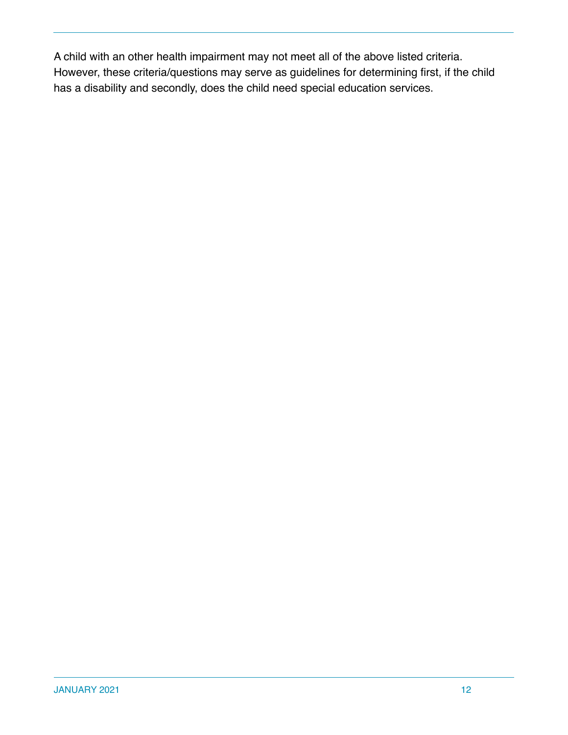A child with an other health impairment may not meet all of the above listed criteria. However, these criteria/questions may serve as guidelines for determining first, if the child has a disability and secondly, does the child need special education services.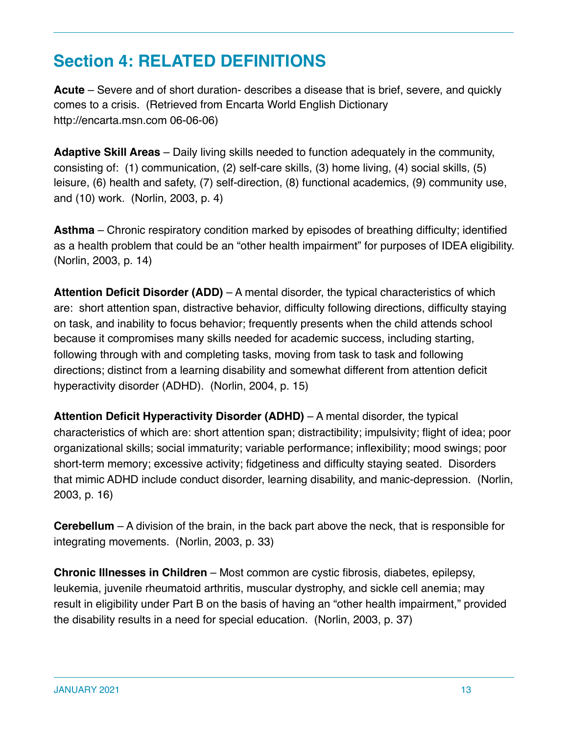# **Section 4: RELATED DEFINITIONS**

**Acute** – Severe and of short duration- describes a disease that is brief, severe, and quickly comes to a crisis. (Retrieved from Encarta World English Dictionary http://encarta.msn.com 06-06-06)

**Adaptive Skill Areas** – Daily living skills needed to function adequately in the community, consisting of: (1) communication, (2) self-care skills, (3) home living, (4) social skills, (5) leisure, (6) health and safety, (7) self-direction, (8) functional academics, (9) community use, and (10) work. (Norlin, 2003, p. 4)

**Asthma** – Chronic respiratory condition marked by episodes of breathing difficulty; identified as a health problem that could be an "other health impairment" for purposes of IDEA eligibility. (Norlin, 2003, p. 14)

**Attention Deficit Disorder (ADD)** – A mental disorder, the typical characteristics of which are: short attention span, distractive behavior, difficulty following directions, difficulty staying on task, and inability to focus behavior; frequently presents when the child attends school because it compromises many skills needed for academic success, including starting, following through with and completing tasks, moving from task to task and following directions; distinct from a learning disability and somewhat different from attention deficit hyperactivity disorder (ADHD). (Norlin, 2004, p. 15)

**Attention Deficit Hyperactivity Disorder (ADHD)** – A mental disorder, the typical characteristics of which are: short attention span; distractibility; impulsivity; flight of idea; poor organizational skills; social immaturity; variable performance; inflexibility; mood swings; poor short-term memory; excessive activity; fidgetiness and difficulty staying seated. Disorders that mimic ADHD include conduct disorder, learning disability, and manic-depression. (Norlin, 2003, p. 16)

**Cerebellum** – A division of the brain, in the back part above the neck, that is responsible for integrating movements. (Norlin, 2003, p. 33)

**Chronic Illnesses in Children** – Most common are cystic fibrosis, diabetes, epilepsy, leukemia, juvenile rheumatoid arthritis, muscular dystrophy, and sickle cell anemia; may result in eligibility under Part B on the basis of having an "other health impairment," provided the disability results in a need for special education. (Norlin, 2003, p. 37)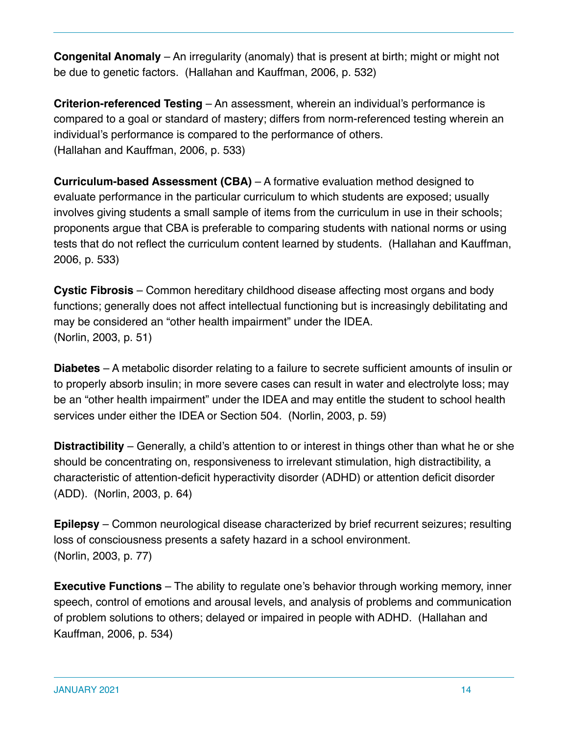**Congenital Anomaly** – An irregularity (anomaly) that is present at birth; might or might not be due to genetic factors. (Hallahan and Kauffman, 2006, p. 532)

**Criterion-referenced Testing** – An assessment, wherein an individual's performance is compared to a goal or standard of mastery; differs from norm-referenced testing wherein an individual's performance is compared to the performance of others. (Hallahan and Kauffman, 2006, p. 533)

**Curriculum-based Assessment (CBA)** – A formative evaluation method designed to evaluate performance in the particular curriculum to which students are exposed; usually involves giving students a small sample of items from the curriculum in use in their schools; proponents argue that CBA is preferable to comparing students with national norms or using tests that do not reflect the curriculum content learned by students. (Hallahan and Kauffman, 2006, p. 533)

**Cystic Fibrosis** – Common hereditary childhood disease affecting most organs and body functions; generally does not affect intellectual functioning but is increasingly debilitating and may be considered an "other health impairment" under the IDEA. (Norlin, 2003, p. 51)

**Diabetes** – A metabolic disorder relating to a failure to secrete sufficient amounts of insulin or to properly absorb insulin; in more severe cases can result in water and electrolyte loss; may be an "other health impairment" under the IDEA and may entitle the student to school health services under either the IDEA or Section 504. (Norlin, 2003, p. 59)

**Distractibility** – Generally, a child's attention to or interest in things other than what he or she should be concentrating on, responsiveness to irrelevant stimulation, high distractibility, a characteristic of attention-deficit hyperactivity disorder (ADHD) or attention deficit disorder (ADD). (Norlin, 2003, p. 64)

**Epilepsy** – Common neurological disease characterized by brief recurrent seizures; resulting loss of consciousness presents a safety hazard in a school environment. (Norlin, 2003, p. 77)

**Executive Functions** – The ability to regulate one's behavior through working memory, inner speech, control of emotions and arousal levels, and analysis of problems and communication of problem solutions to others; delayed or impaired in people with ADHD. (Hallahan and Kauffman, 2006, p. 534)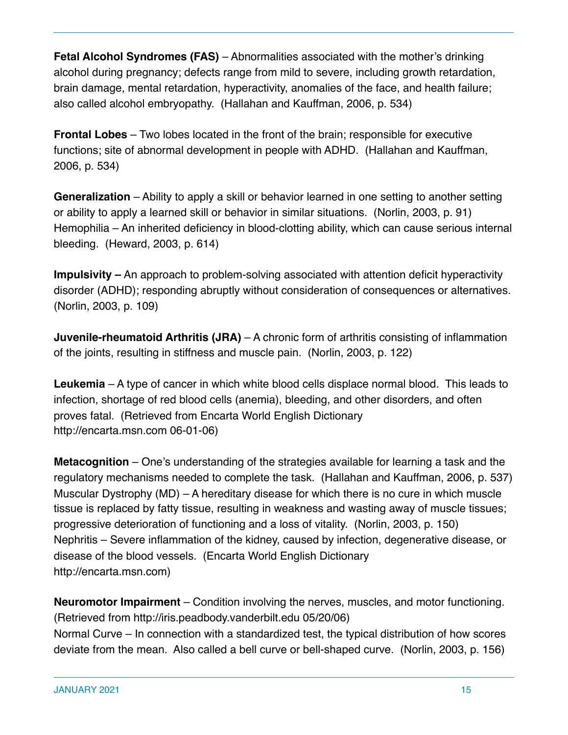**Fetal Alcohol Syndromes (FAS)** – Abnormalities associated with the mother's drinking alcohol during pregnancy; defects range from mild to severe, including growth retardation, brain damage, mental retardation, hyperactivity, anomalies of the face, and health failure; also called alcohol embryopathy. (Hallahan and Kauffman, 2006, p. 534)

**Frontal Lobes** – Two lobes located in the front of the brain; responsible for executive functions; site of abnormal development in people with ADHD. (Hallahan and Kauffman, 2006, p. 534)

**Generalization** – Ability to apply a skill or behavior learned in one setting to another setting or ability to apply a learned skill or behavior in similar situations. (Norlin, 2003, p. 91) Hemophilia – An inherited deficiency in blood-clotting ability, which can cause serious internal bleeding. (Heward, 2003, p. 614)

**Impulsivity –** An approach to problem-solving associated with attention deficit hyperactivity disorder (ADHD); responding abruptly without consideration of consequences or alternatives. (Norlin, 2003, p. 109)

**Juvenile-rheumatoid Arthritis (JRA)** – A chronic form of arthritis consisting of inflammation of the joints, resulting in stiffness and muscle pain. (Norlin, 2003, p. 122)

**Leukemia** – A type of cancer in which white blood cells displace normal blood. This leads to infection, shortage of red blood cells (anemia), bleeding, and other disorders, and often proves fatal. (Retrieved from Encarta World English Dictionary http://encarta.msn.com 06-01-06)

**Metacognition** – One's understanding of the strategies available for learning a task and the regulatory mechanisms needed to complete the task. (Hallahan and Kauffman, 2006, p. 537) Muscular Dystrophy (MD) – A hereditary disease for which there is no cure in which muscle tissue is replaced by fatty tissue, resulting in weakness and wasting away of muscle tissues; progressive deterioration of functioning and a loss of vitality. (Norlin, 2003, p. 150) Nephritis – Severe inflammation of the kidney, caused by infection, degenerative disease, or disease of the blood vessels. (Encarta World English Dictionary http://encarta.msn.com)

**Neuromotor Impairment** – Condition involving the nerves, muscles, and motor functioning. (Retrieved from http://iris.peadbody.vanderbilt.edu 05/20/06) Normal Curve – In connection with a standardized test, the typical distribution of how scores deviate from the mean. Also called a bell curve or bell-shaped curve. (Norlin, 2003, p. 156)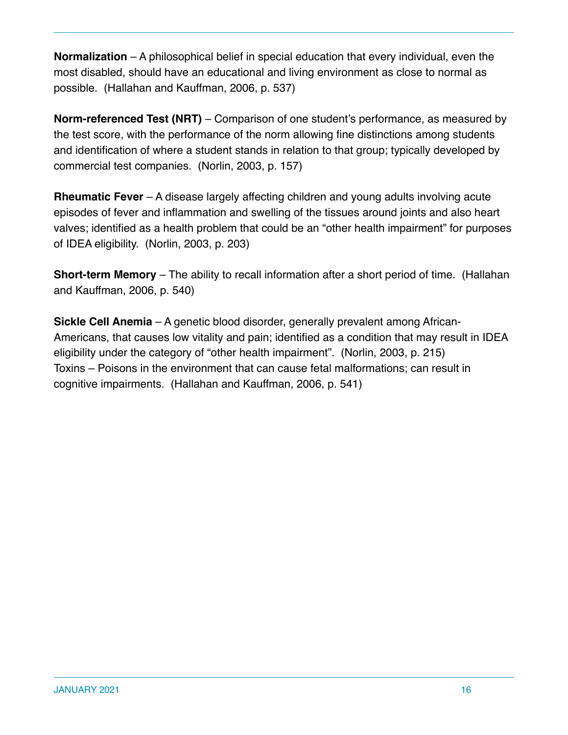**Normalization** – A philosophical belief in special education that every individual, even the most disabled, should have an educational and living environment as close to normal as possible. (Hallahan and Kauffman, 2006, p. 537)

**Norm-referenced Test (NRT)** – Comparison of one student's performance, as measured by the test score, with the performance of the norm allowing fine distinctions among students and identification of where a student stands in relation to that group; typically developed by commercial test companies. (Norlin, 2003, p. 157)

**Rheumatic Fever** – A disease largely affecting children and young adults involving acute episodes of fever and inflammation and swelling of the tissues around joints and also heart valves; identified as a health problem that could be an "other health impairment" for purposes of IDEA eligibility. (Norlin, 2003, p. 203)

**Short-term Memory** – The ability to recall information after a short period of time. (Hallahan and Kauffman, 2006, p. 540)

**Sickle Cell Anemia** – A genetic blood disorder, generally prevalent among African-Americans, that causes low vitality and pain; identified as a condition that may result in IDEA eligibility under the category of "other health impairment". (Norlin, 2003, p. 215) Toxins – Poisons in the environment that can cause fetal malformations; can result in cognitive impairments. (Hallahan and Kauffman, 2006, p. 541)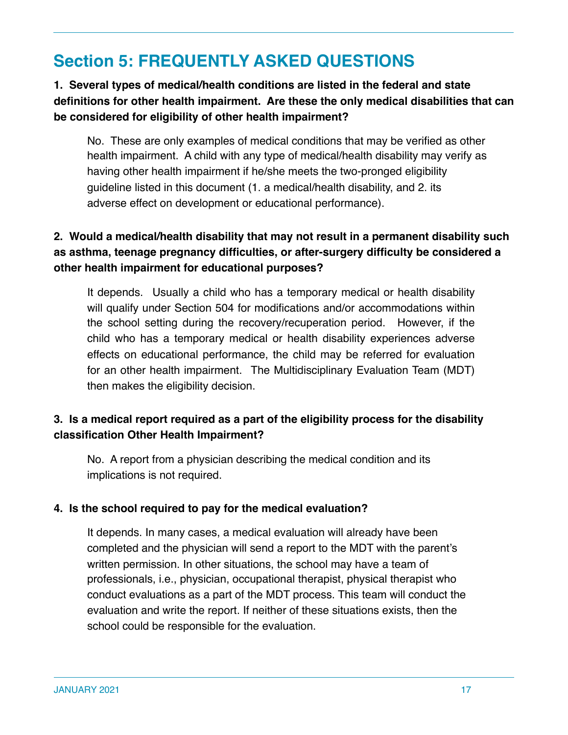## **Section 5: FREQUENTLY ASKED QUESTIONS**

#### **1. Several types of medical/health conditions are listed in the federal and state definitions for other health impairment. Are these the only medical disabilities that can be considered for eligibility of other health impairment?**

No. These are only examples of medical conditions that may be verified as other health impairment. A child with any type of medical/health disability may verify as having other health impairment if he/she meets the two-pronged eligibility guideline listed in this document (1. a medical/health disability, and 2. its adverse effect on development or educational performance).

#### **2. Would a medical/health disability that may not result in a permanent disability such as asthma, teenage pregnancy difficulties, or after-surgery difficulty be considered a other health impairment for educational purposes?**

It depends. Usually a child who has a temporary medical or health disability will qualify under Section 504 for modifications and/or accommodations within the school setting during the recovery/recuperation period. However, if the child who has a temporary medical or health disability experiences adverse effects on educational performance, the child may be referred for evaluation for an other health impairment. The Multidisciplinary Evaluation Team (MDT) then makes the eligibility decision.

#### **3. Is a medical report required as a part of the eligibility process for the disability classification Other Health Impairment?**

No. A report from a physician describing the medical condition and its implications is not required.

#### **4. Is the school required to pay for the medical evaluation?**

It depends. In many cases, a medical evaluation will already have been completed and the physician will send a report to the MDT with the parent's written permission. In other situations, the school may have a team of professionals, i.e., physician, occupational therapist, physical therapist who conduct evaluations as a part of the MDT process. This team will conduct the evaluation and write the report. If neither of these situations exists, then the school could be responsible for the evaluation.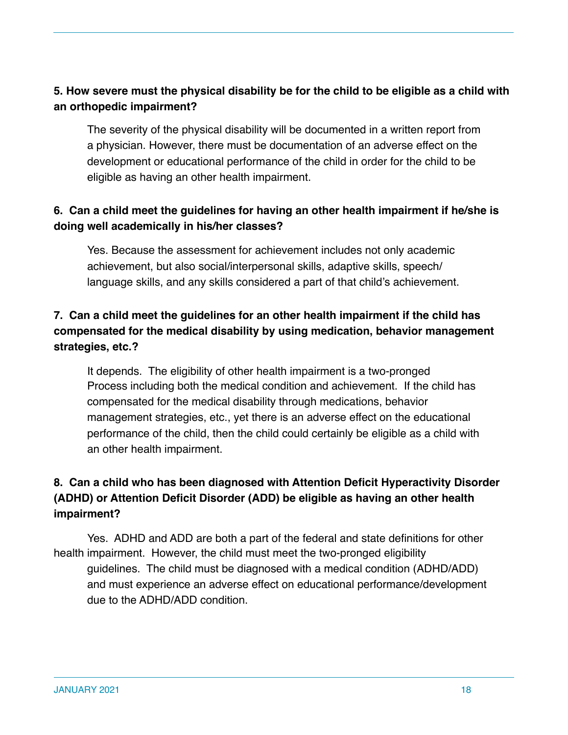#### **5. How severe must the physical disability be for the child to be eligible as a child with an orthopedic impairment?**

The severity of the physical disability will be documented in a written report from a physician. However, there must be documentation of an adverse effect on the development or educational performance of the child in order for the child to be eligible as having an other health impairment.

#### **6. Can a child meet the guidelines for having an other health impairment if he/she is doing well academically in his/her classes?**

Yes. Because the assessment for achievement includes not only academic achievement, but also social/interpersonal skills, adaptive skills, speech/ language skills, and any skills considered a part of that child's achievement.

#### **7. Can a child meet the guidelines for an other health impairment if the child has compensated for the medical disability by using medication, behavior management strategies, etc.?**

It depends. The eligibility of other health impairment is a two-pronged Process including both the medical condition and achievement. If the child has compensated for the medical disability through medications, behavior management strategies, etc., yet there is an adverse effect on the educational performance of the child, then the child could certainly be eligible as a child with an other health impairment.

#### **8. Can a child who has been diagnosed with Attention Deficit Hyperactivity Disorder (ADHD) or Attention Deficit Disorder (ADD) be eligible as having an other health impairment?**

Yes. ADHD and ADD are both a part of the federal and state definitions for other health impairment. However, the child must meet the two-pronged eligibility guidelines. The child must be diagnosed with a medical condition (ADHD/ADD) and must experience an adverse effect on educational performance/development due to the ADHD/ADD condition.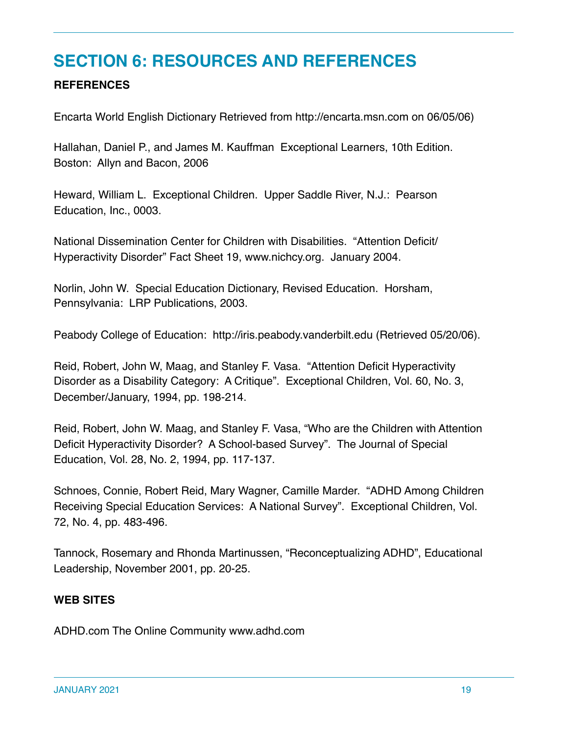## **SECTION 6: RESOURCES AND REFERENCES**

#### **REFERENCES**

Encarta World English Dictionary Retrieved from http://encarta.msn.com on 06/05/06)

Hallahan, Daniel P., and James M. Kauffman Exceptional Learners, 10th Edition. Boston: Allyn and Bacon, 2006

Heward, William L. Exceptional Children. Upper Saddle River, N.J.: Pearson Education, Inc., 0003.

National Dissemination Center for Children with Disabilities. "Attention Deficit/ Hyperactivity Disorder" Fact Sheet 19, www.nichcy.org. January 2004.

Norlin, John W. Special Education Dictionary, Revised Education. Horsham, Pennsylvania: LRP Publications, 2003.

Peabody College of Education: http://iris.peabody.vanderbilt.edu (Retrieved 05/20/06).

Reid, Robert, John W, Maag, and Stanley F. Vasa. "Attention Deficit Hyperactivity Disorder as a Disability Category: A Critique". Exceptional Children, Vol. 60, No. 3, December/January, 1994, pp. 198-214.

Reid, Robert, John W. Maag, and Stanley F. Vasa, "Who are the Children with Attention Deficit Hyperactivity Disorder? A School-based Survey". The Journal of Special Education, Vol. 28, No. 2, 1994, pp. 117-137.

Schnoes, Connie, Robert Reid, Mary Wagner, Camille Marder. "ADHD Among Children Receiving Special Education Services: A National Survey". Exceptional Children, Vol. 72, No. 4, pp. 483-496.

Tannock, Rosemary and Rhonda Martinussen, "Reconceptualizing ADHD", Educational Leadership, November 2001, pp. 20-25.

#### **WEB SITES**

ADHD.com The Online Community www.adhd.com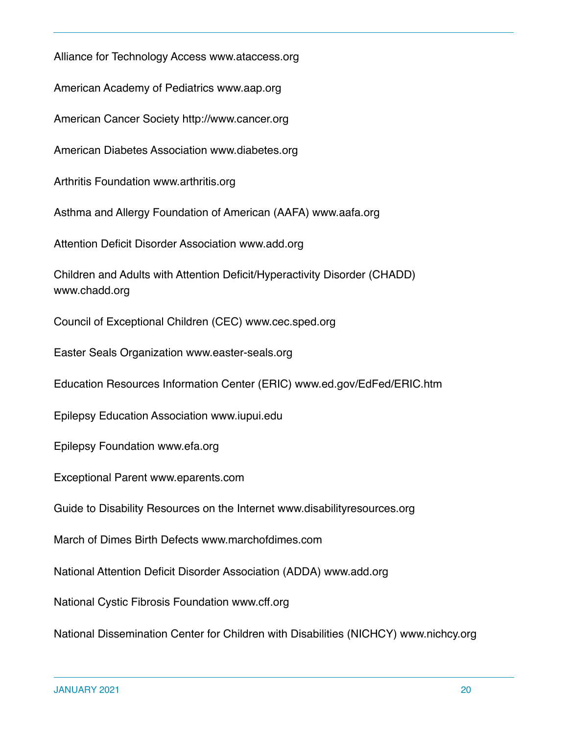Alliance for Technology Access www.ataccess.org American Academy of Pediatrics www.aap.org American Cancer Society http://www.cancer.org American Diabetes Association www.diabetes.org Arthritis Foundation www.arthritis.org Asthma and Allergy Foundation of American (AAFA) www.aafa.org Attention Deficit Disorder Association www.add.org Children and Adults with Attention Deficit/Hyperactivity Disorder (CHADD) www.chadd.org Council of Exceptional Children (CEC) www.cec.sped.org Easter Seals Organization www.easter-seals.org Education Resources Information Center (ERIC) www.ed.gov/EdFed/ERIC.htm Epilepsy Education Association www.iupui.edu Epilepsy Foundation www.efa.org Exceptional Parent www.eparents.com Guide to Disability Resources on the Internet www.disabilityresources.org March of Dimes Birth Defects www.marchofdimes.com National Attention Deficit Disorder Association (ADDA) www.add.org National Cystic Fibrosis Foundation www.cff.org National Dissemination Center for Children with Disabilities (NICHCY) www.nichcy.org